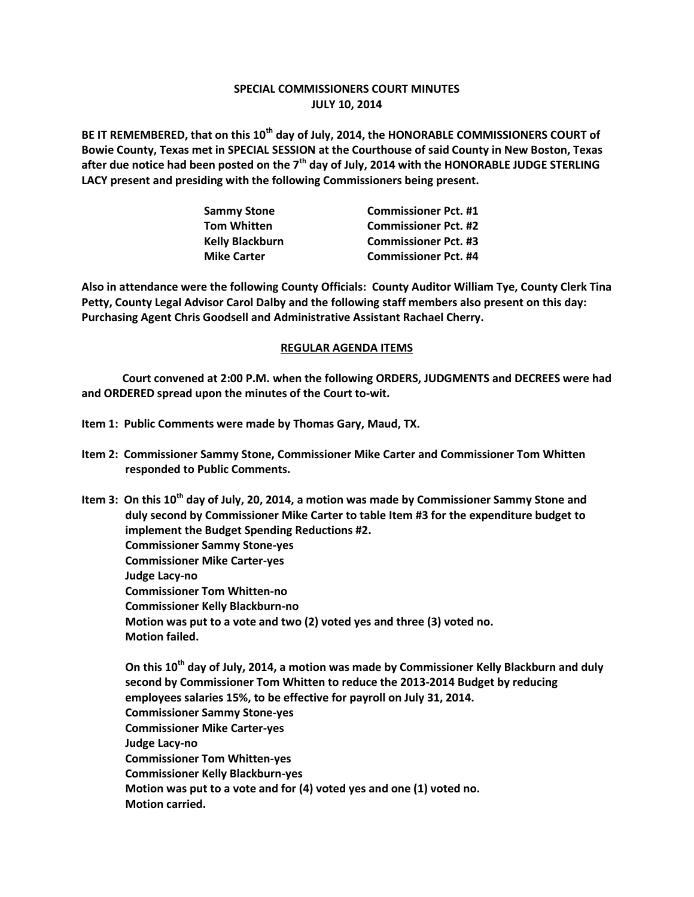## **SPECIAL COMMISSIONERS COURT MINUTES JULY 10, 2014**

**BE IT REMEMBERED, that on this 10th day of July, 2014, the HONORABLE COMMISSIONERS COURT of Bowie County, Texas met in SPECIAL SESSION at the Courthouse of said County in New Boston, Texas after due notice had been posted on the 7th day of July, 2014 with the HONORABLE JUDGE STERLING LACY present and presiding with the following Commissioners being present.**

| <b>Sammy Stone</b>     | <b>Commissioner Pct. #1</b> |
|------------------------|-----------------------------|
| <b>Tom Whitten</b>     | <b>Commissioner Pct. #2</b> |
| <b>Kelly Blackburn</b> | <b>Commissioner Pct. #3</b> |
| <b>Mike Carter</b>     | <b>Commissioner Pct. #4</b> |

**Also in attendance were the following County Officials: County Auditor William Tye, County Clerk Tina Petty, County Legal Advisor Carol Dalby and the following staff members also present on this day: Purchasing Agent Chris Goodsell and Administrative Assistant Rachael Cherry.**

## **REGULAR AGENDA ITEMS**

**Court convened at 2:00 P.M. when the following ORDERS, JUDGMENTS and DECREES were had and ORDERED spread upon the minutes of the Court to-wit.**

- **Item 1: Public Comments were made by Thomas Gary, Maud, TX.**
- **Item 2: Commissioner Sammy Stone, Commissioner Mike Carter and Commissioner Tom Whitten responded to Public Comments.**

**Item 3: On this 10th day of July, 20, 2014, a motion was made by Commissioner Sammy Stone and duly second by Commissioner Mike Carter to table Item #3 for the expenditure budget to implement the Budget Spending Reductions #2. Commissioner Sammy Stone-yes Commissioner Mike Carter-yes Judge Lacy-no Commissioner Tom Whitten-no Commissioner Kelly Blackburn-no Motion was put to a vote and two (2) voted yes and three (3) voted no. Motion failed.**

**On this 10th day of July, 2014, a motion was made by Commissioner Kelly Blackburn and duly second by Commissioner Tom Whitten to reduce the 2013-2014 Budget by reducing employees salaries 15%, to be effective for payroll on July 31, 2014. Commissioner Sammy Stone-yes Commissioner Mike Carter-yes Judge Lacy-no Commissioner Tom Whitten-yes Commissioner Kelly Blackburn-yes Motion was put to a vote and for (4) voted yes and one (1) voted no. Motion carried.**